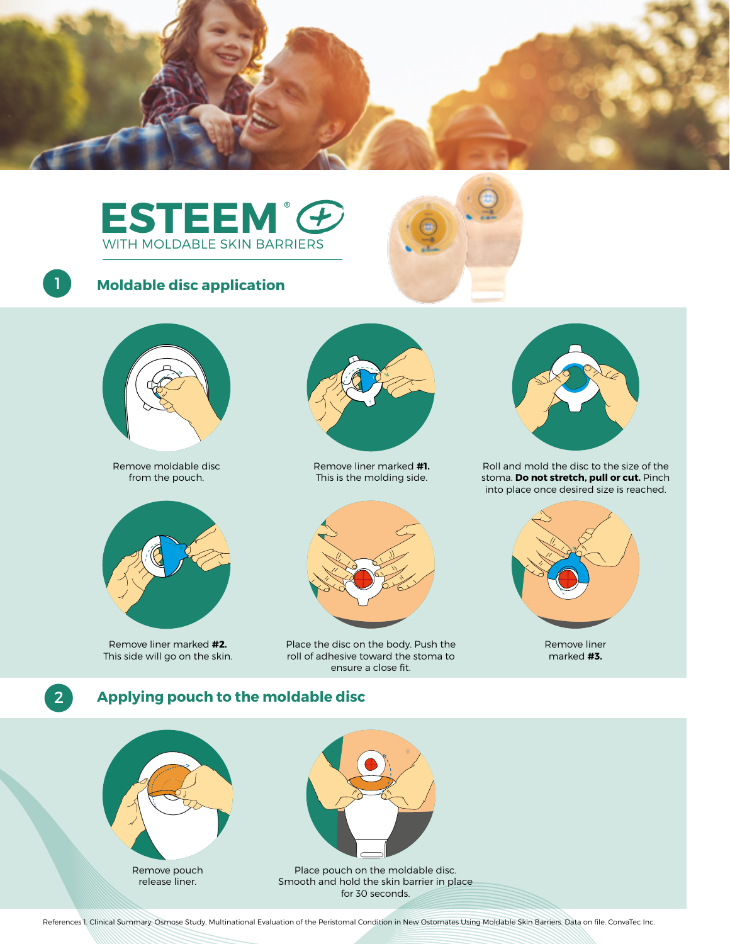





# **Moldable disc application**



Remove moldable disc from the pouch.



Remove liner marked **#2.**  This side will go on the skin.



Remove liner marked **#1.**  This is the molding side.



Place the disc on the body. Push the roll of adhesive toward the stoma to ensure a close fit.



Roll and mold the disc to the size of the stoma. **Do not stretch, pull or cut.** Pinch into place once desired size is reached.



Remove liner marked **#3.**

1

# 2 **Applying pouch to the moldable disc**



release liner.



Smooth and hold the skin barrier in place for 30 seconds.

References 1. Clinical Summary: Osmose Study, Multinational Evaluation of the Peristomal Condition in New Ostomates Using Moldable Skin Barriers. Data on file. ConvaTec Inc.